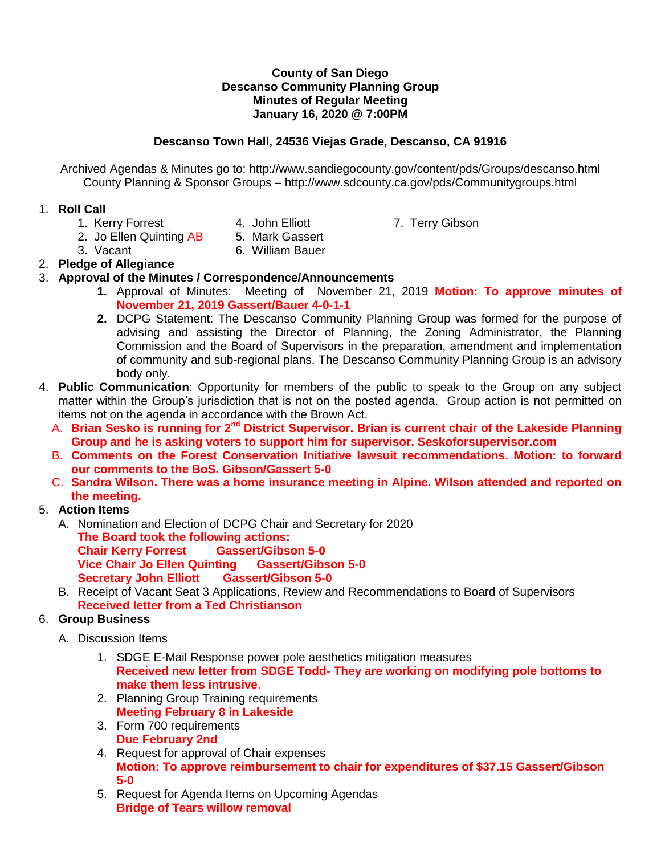#### **County of San Diego Descanso Community Planning Group Minutes of Regular Meeting January 16, 2020 @ 7:00PM**

## **Descanso Town Hall, 24536 Viejas Grade, Descanso, CA 91916**

Archived Agendas & Minutes go to: http://www.sandiegocounty.gov/content/pds/Groups/descanso.html County Planning & Sponsor Groups – http://www.sdcounty.ca.gov/pds/Communitygroups.html

### 1. **Roll Call**

- 
- 1. Kerry Forrest **4. John Elliott** 7. Terry Gibson
- 2. Jo Ellen Quinting AB 5. Mark Gassert
- 3. Vacant 6. William Bauer
- 2. **Pledge of Allegiance**

## 3. **Approval of the Minutes / Correspondence/Announcements**

- **1.** Approval of Minutes: Meeting of November 21, 2019 **Motion: To approve minutes of November 21, 2019 Gassert/Bauer 4-0-1-1**
- **2.** DCPG Statement: The Descanso Community Planning Group was formed for the purpose of advising and assisting the Director of Planning, the Zoning Administrator, the Planning Commission and the Board of Supervisors in the preparation, amendment and implementation of community and sub-regional plans. The Descanso Community Planning Group is an advisory body only.
- 4. **Public Communication**: Opportunity for members of the public to speak to the Group on any subject matter within the Group's jurisdiction that is not on the posted agenda. Group action is not permitted on items not on the agenda in accordance with the Brown Act.
	- A. **Brian Sesko is running for 2nd District Supervisor. Brian is current chair of the Lakeside Planning Group and he is asking voters to support him for supervisor. Seskoforsupervisor.com**
	- B. **Comments on the Forest Conservation Initiative lawsuit recommendations. Motion: to forward our comments to the BoS. Gibson/Gassert 5-0**
	- C. **Sandra Wilson. There was a home insurance meeting in Alpine. Wilson attended and reported on the meeting.**

# 5. **Action Items**

- A. Nomination and Election of DCPG Chair and Secretary for 2020 **The Board took the following actions: Chair Kerry Forrest Gassert/Gibson 5-0 Vice Chair Jo Ellen Quinting Gassert/Gibson 5-0 Secretary John Elliott Gassert/Gibson 5-0**
- B. Receipt of Vacant Seat 3 Applications, Review and Recommendations to Board of Supervisors **Received letter from a Ted Christianson**

### 6. **Group Business**

- A. Discussion Items
	- 1. SDGE E-Mail Response power pole aesthetics mitigation measures **Received new letter from SDGE Todd- They are working on modifying pole bottoms to make them less intrusive**.
	- 2. Planning Group Training requirements **Meeting February 8 in Lakeside**
	- 3. Form 700 requirements **Due February 2nd**
	- 4. Request for approval of Chair expenses **Motion: To approve reimbursement to chair for expenditures of \$37.15 Gassert/Gibson 5-0**
	- 5. Request for Agenda Items on Upcoming Agendas **Bridge of Tears willow removal**